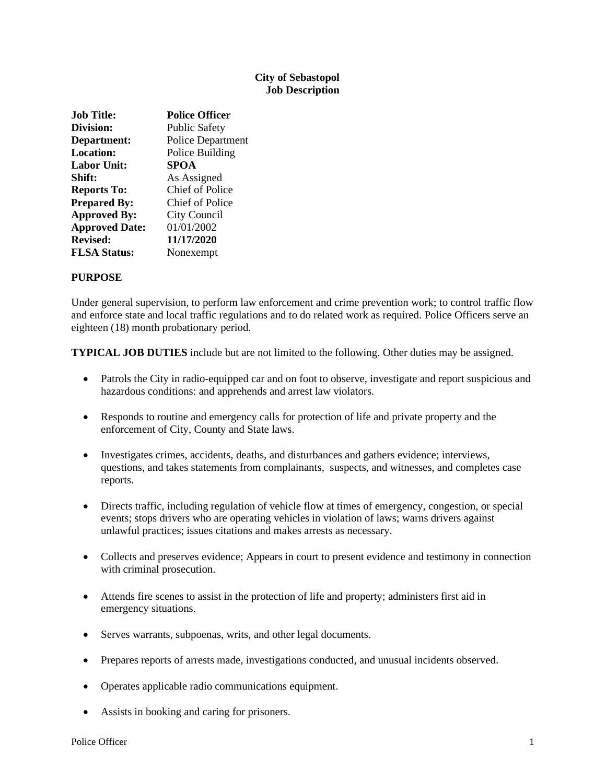#### **City of Sebastopol Job Description**

| <b>Job Title:</b>     | <b>Police Officer</b>    |
|-----------------------|--------------------------|
| Division:             | <b>Public Safety</b>     |
| Department:           | <b>Police Department</b> |
| <b>Location:</b>      | Police Building          |
| <b>Labor Unit:</b>    | SPOA                     |
| Shift:                | As Assigned              |
| <b>Reports To:</b>    | <b>Chief of Police</b>   |
| <b>Prepared By:</b>   | Chief of Police          |
| <b>Approved By:</b>   | City Council             |
| <b>Approved Date:</b> | 01/01/2002               |
| <b>Revised:</b>       | 11/17/2020               |
| <b>FLSA Status:</b>   | Nonexempt                |

#### **PURPOSE**

Under general supervision, to perform law enforcement and crime prevention work; to control traffic flow and enforce state and local traffic regulations and to do related work as required. Police Officers serve an eighteen (18) month probationary period.

**TYPICAL JOB DUTIES** include but are not limited to the following. Other duties may be assigned.

- Patrols the City in radio-equipped car and on foot to observe, investigate and report suspicious and hazardous conditions: and apprehends and arrest law violators.
- Responds to routine and emergency calls for protection of life and private property and the enforcement of City, County and State laws.
- Investigates crimes, accidents, deaths, and disturbances and gathers evidence; interviews, questions, and takes statements from complainants, suspects, and witnesses, and completes case reports.
- Directs traffic, including regulation of vehicle flow at times of emergency, congestion, or special events; stops drivers who are operating vehicles in violation of laws; warns drivers against unlawful practices; issues citations and makes arrests as necessary.
- Collects and preserves evidence; Appears in court to present evidence and testimony in connection with criminal prosecution.
- Attends fire scenes to assist in the protection of life and property; administers first aid in emergency situations.
- Serves warrants, subpoenas, writs, and other legal documents.
- Prepares reports of arrests made, investigations conducted, and unusual incidents observed.
- Operates applicable radio communications equipment.
- Assists in booking and caring for prisoners.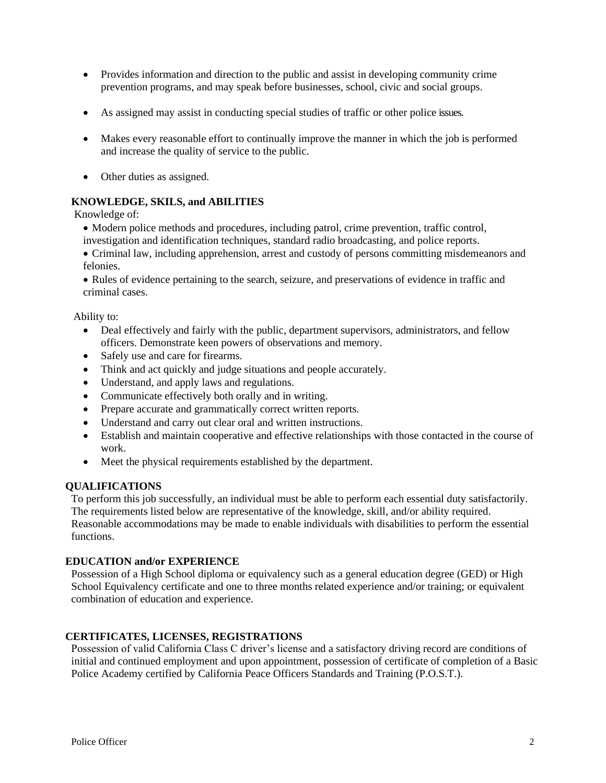- Provides information and direction to the public and assist in developing community crime prevention programs, and may speak before businesses, school, civic and social groups.
- As assigned may assist in conducting special studies of traffic or other police issues.
- Makes every reasonable effort to continually improve the manner in which the job is performed and increase the quality of service to the public.
- Other duties as assigned.

### **KNOWLEDGE, SKILS, and ABILITIES**

Knowledge of:

- Modern police methods and procedures, including patrol, crime prevention, traffic control, investigation and identification techniques, standard radio broadcasting, and police reports.
- Criminal law, including apprehension, arrest and custody of persons committing misdemeanors and felonies.

• Rules of evidence pertaining to the search, seizure, and preservations of evidence in traffic and criminal cases.

Ability to:

- Deal effectively and fairly with the public, department supervisors, administrators, and fellow officers. Demonstrate keen powers of observations and memory.
- Safely use and care for firearms.
- Think and act quickly and judge situations and people accurately.
- Understand, and apply laws and regulations.
- Communicate effectively both orally and in writing.
- Prepare accurate and grammatically correct written reports.
- Understand and carry out clear oral and written instructions.
- Establish and maintain cooperative and effective relationships with those contacted in the course of work.
- Meet the physical requirements established by the department.

#### **QUALIFICATIONS**

To perform this job successfully, an individual must be able to perform each essential duty satisfactorily. The requirements listed below are representative of the knowledge, skill, and/or ability required. Reasonable accommodations may be made to enable individuals with disabilities to perform the essential functions.

#### **EDUCATION and/or EXPERIENCE**

Possession of a High School diploma or equivalency such as a general education degree (GED) or High School Equivalency certificate and one to three months related experience and/or training; or equivalent combination of education and experience.

# **CERTIFICATES, LICENSES, REGISTRATIONS**

Possession of valid California Class C driver's license and a satisfactory driving record are conditions of initial and continued employment and upon appointment, possession of certificate of completion of a Basic Police Academy certified by California Peace Officers Standards and Training (P.O.S.T.).